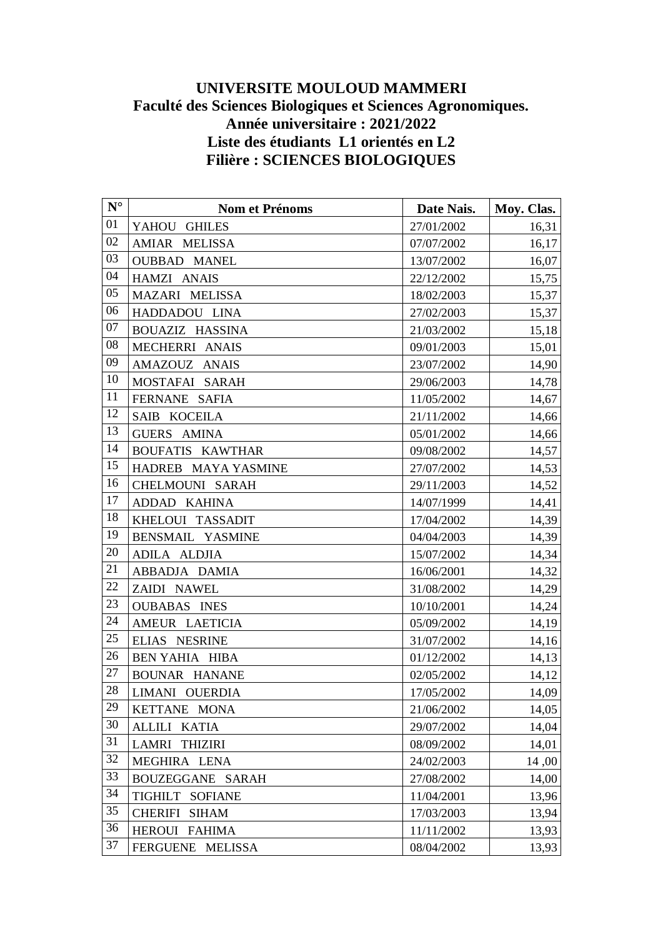## **UNIVERSITE MOULOUD MAMMERI Faculté des Sciences Biologiques et Sciences Agronomiques. Année universitaire : 2021/2022 Liste des étudiants L1 orientés en L2 Filière : SCIENCES BIOLOGIQUES**

| $N^{\circ}$ | Nom et Prénoms                | Date Nais. | Moy. Clas. |
|-------------|-------------------------------|------------|------------|
| 01          | YAHOU GHILES                  | 27/01/2002 | 16,31      |
| 02          | AMIAR MELISSA                 | 07/07/2002 | 16,17      |
| 03          | <b>OUBBAD MANEL</b>           | 13/07/2002 | 16,07      |
| 04          | HAMZI ANAIS                   | 22/12/2002 | 15,75      |
| 05          | MAZARI MELISSA                | 18/02/2003 | 15,37      |
| 06          | HADDADOU LINA                 | 27/02/2003 | 15,37      |
| 07          | <b>BOUAZIZ HASSINA</b>        | 21/03/2002 | 15,18      |
| 08          | MECHERRI ANAIS                | 09/01/2003 | 15,01      |
| 09          | AMAZOUZ ANAIS                 | 23/07/2002 | 14,90      |
| 10          | MOSTAFAI SARAH                | 29/06/2003 | 14,78      |
| 11          | FERNANE SAFIA                 | 11/05/2002 | 14,67      |
| 12          | SAIB KOCEILA                  | 21/11/2002 | 14,66      |
| 13          | <b>GUERS AMINA</b>            | 05/01/2002 | 14,66      |
| 14          | <b>BOUFATIS KAWTHAR</b>       | 09/08/2002 | 14,57      |
| 15          | HADREB MAYA YASMINE           | 27/07/2002 | 14,53      |
| 16          | CHELMOUNI SARAH               | 29/11/2003 | 14,52      |
| 17          | ADDAD KAHINA                  | 14/07/1999 | 14,41      |
| 18          | KHELOUI TASSADIT              | 17/04/2002 | 14,39      |
| 19          | BENSMAIL YASMINE              | 04/04/2003 | 14,39      |
| 20          | ADILA ALDJIA                  | 15/07/2002 | 14,34      |
| 21          | ABBADJA DAMIA                 | 16/06/2001 | 14,32      |
| 22          | ZAIDI NAWEL                   | 31/08/2002 | 14,29      |
| 23          | <b>OUBABAS INES</b>           | 10/10/2001 | 14,24      |
| 24          | AMEUR LAETICIA                | 05/09/2002 | 14,19      |
| $25\,$      | ELIAS NESRINE                 | 31/07/2002 | 14,16      |
| 26          | <b>BEN YAHIA HIBA</b>         | 01/12/2002 | 14,13      |
| $27\,$      | <b>BOUNAR HANANE</b>          | 02/05/2002 | 14,12      |
| 28          | LIMANI OUERDIA                | 17/05/2002 | 14,09      |
| 29          | KETTANE MONA                  | 21/06/2002 | 14,05      |
| 30          | <b>ALLILI</b><br><b>KATIA</b> | 29/07/2002 | 14,04      |
| 31          | LAMRI THIZIRI                 | 08/09/2002 | 14,01      |
| 32          | MEGHIRA LENA                  | 24/02/2003 | 14,00      |
| 33          | BOUZEGGANE SARAH              | 27/08/2002 | 14,00      |
| 34          | TIGHILT SOFIANE               | 11/04/2001 | 13,96      |
| 35          | CHERIFI SIHAM                 | 17/03/2003 | 13,94      |
| 36          | HEROUI FAHIMA                 | 11/11/2002 | 13,93      |
| 37          | FERGUENE MELISSA              | 08/04/2002 | 13,93      |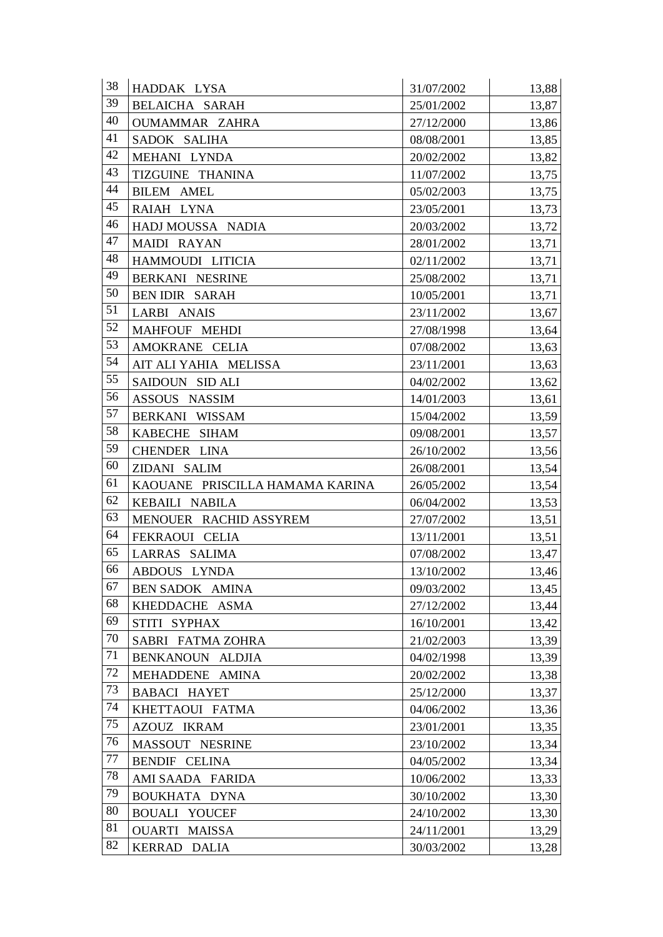| 38     | HADDAK LYSA                     | 31/07/2002 | 13,88 |
|--------|---------------------------------|------------|-------|
| 39     | <b>BELAICHA SARAH</b>           | 25/01/2002 | 13,87 |
| 40     | <b>OUMAMMAR ZAHRA</b>           | 27/12/2000 | 13,86 |
| 41     | SADOK SALIHA                    | 08/08/2001 | 13,85 |
| 42     | MEHANI LYNDA                    | 20/02/2002 | 13,82 |
| 43     | TIZGUINE THANINA                | 11/07/2002 | 13,75 |
| 44     | <b>BILEM AMEL</b>               | 05/02/2003 | 13,75 |
| 45     | RAIAH LYNA                      | 23/05/2001 | 13,73 |
| 46     | HADJ MOUSSA NADIA               | 20/03/2002 | 13,72 |
| 47     | MAIDI RAYAN                     | 28/01/2002 | 13,71 |
| 48     | HAMMOUDI LITICIA                | 02/11/2002 | 13,71 |
| 49     | BERKANI NESRINE                 | 25/08/2002 | 13,71 |
| 50     | <b>BEN IDIR SARAH</b>           | 10/05/2001 | 13,71 |
| 51     | LARBI ANAIS                     | 23/11/2002 | 13,67 |
| 52     | MAHFOUF MEHDI                   | 27/08/1998 | 13,64 |
| 53     | AMOKRANE CELIA                  | 07/08/2002 | 13,63 |
| 54     | AIT ALI YAHIA MELISSA           | 23/11/2001 | 13,63 |
| 55     | SAIDOUN SID ALI                 | 04/02/2002 | 13,62 |
| 56     | ASSOUS NASSIM                   | 14/01/2003 | 13,61 |
| 57     | BERKANI WISSAM                  | 15/04/2002 | 13,59 |
| 58     | KABECHE SIHAM                   | 09/08/2001 | 13,57 |
| 59     | CHENDER LINA                    | 26/10/2002 | 13,56 |
| 60     | ZIDANI SALIM                    | 26/08/2001 | 13,54 |
| 61     | KAOUANE PRISCILLA HAMAMA KARINA | 26/05/2002 | 13,54 |
| 62     | KEBAILI NABILA                  | 06/04/2002 | 13,53 |
| 63     | MENOUER RACHID ASSYREM          | 27/07/2002 | 13,51 |
| 64     | FEKRAOUI CELIA                  | 13/11/2001 | 13,51 |
| 65     | LARRAS SALIMA                   | 07/08/2002 | 13,47 |
| 66     | ABDOUS LYNDA                    | 13/10/2002 | 13,46 |
| 67     | <b>BEN SADOK AMINA</b>          | 09/03/2002 | 13,45 |
| 68     | KHEDDACHE ASMA                  | 27/12/2002 | 13,44 |
| 69     | STITI SYPHAX                    | 16/10/2001 | 13,42 |
| 70     | SABRI FATMA ZOHRA               | 21/02/2003 | 13,39 |
| 71     | BENKANOUN ALDJIA                | 04/02/1998 | 13,39 |
| 72     | <b>MEHADDENE</b><br>AMINA       | 20/02/2002 | 13,38 |
| 73     | <b>BABACI HAYET</b>             | 25/12/2000 | 13,37 |
| 74     | KHETTAOUI FATMA                 | 04/06/2002 | 13,36 |
| $75\,$ | AZOUZ IKRAM                     | 23/01/2001 | 13,35 |
| 76     | MASSOUT NESRINE                 | 23/10/2002 | 13,34 |
| 77     | <b>BENDIF CELINA</b>            | 04/05/2002 | 13,34 |
| 78     | AMI SAADA FARIDA                | 10/06/2002 | 13,33 |
| 79     | BOUKHATA DYNA                   | 30/10/2002 | 13,30 |
| 80     | <b>BOUALI YOUCEF</b>            | 24/10/2002 | 13,30 |
| 81     | OUARTI MAISSA                   | 24/11/2001 | 13,29 |
| 82     | <b>KERRAD</b><br><b>DALIA</b>   | 30/03/2002 | 13,28 |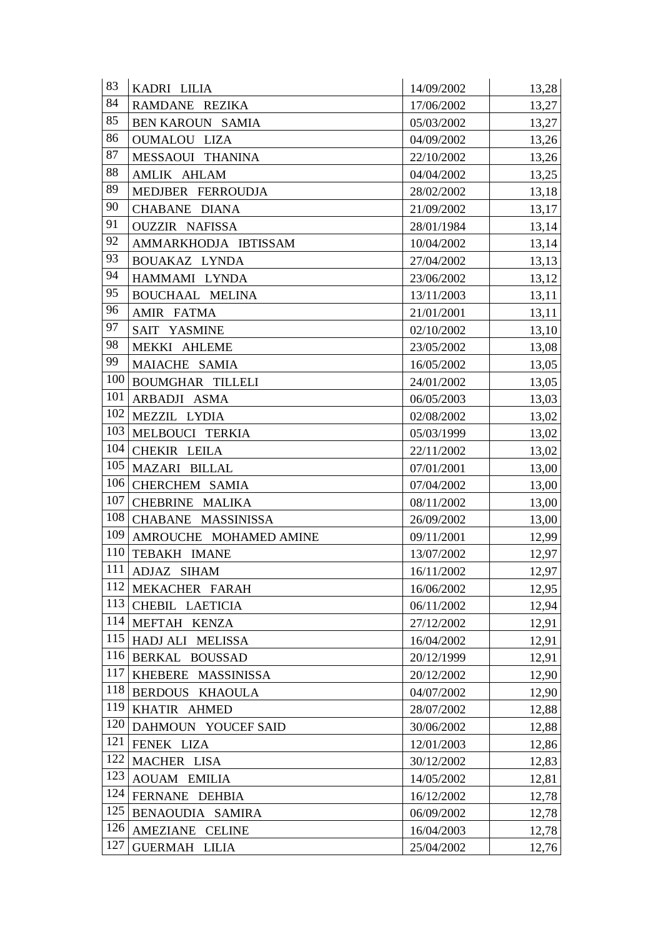| 83  | KADRI LILIA                         | 14/09/2002 | 13,28 |
|-----|-------------------------------------|------------|-------|
| 84  | RAMDANE REZIKA                      | 17/06/2002 | 13,27 |
| 85  | <b>BEN KAROUN SAMIA</b>             | 05/03/2002 | 13,27 |
| 86  | <b>OUMALOU LIZA</b>                 | 04/09/2002 | 13,26 |
| 87  | MESSAOUI THANINA                    | 22/10/2002 | 13,26 |
| 88  | AMLIK AHLAM                         | 04/04/2002 | 13,25 |
| 89  | MEDJBER FERROUDJA                   | 28/02/2002 | 13,18 |
| 90  | CHABANE DIANA                       | 21/09/2002 | 13,17 |
| 91  | <b>OUZZIR NAFISSA</b>               | 28/01/1984 | 13,14 |
| 92  | AMMARKHODJA IBTISSAM                | 10/04/2002 | 13,14 |
| 93  | BOUAKAZ LYNDA                       | 27/04/2002 | 13,13 |
| 94  | HAMMAMI LYNDA                       | 23/06/2002 | 13,12 |
| 95  | <b>BOUCHAAL MELINA</b>              | 13/11/2003 | 13,11 |
| 96  | AMIR FATMA                          | 21/01/2001 | 13,11 |
| 97  | SAIT YASMINE                        | 02/10/2002 | 13,10 |
| 98  | MEKKI AHLEME                        | 23/05/2002 | 13,08 |
| 99  | MAIACHE SAMIA                       | 16/05/2002 | 13,05 |
| 100 | <b>BOUMGHAR TILLELI</b>             | 24/01/2002 | 13,05 |
| 101 | ARBADJI ASMA                        | 06/05/2003 | 13,03 |
| 102 | MEZZIL LYDIA                        | 02/08/2002 | 13,02 |
| 103 | MELBOUCI TERKIA                     | 05/03/1999 | 13,02 |
| 104 | CHEKIR LEILA                        | 22/11/2002 | 13,02 |
| 105 | MAZARI BILLAL                       | 07/01/2001 | 13,00 |
| 106 | CHERCHEM SAMIA                      | 07/04/2002 | 13,00 |
| 107 | CHEBRINE MALIKA                     | 08/11/2002 | 13,00 |
| 108 | CHABANE MASSINISSA                  | 26/09/2002 | 13,00 |
| 109 | AMROUCHE MOHAMED AMINE              | 09/11/2001 | 12,99 |
| 110 | TEBAKH IMANE                        | 13/07/2002 | 12,97 |
| 111 | ADJAZ SIHAM                         | 16/11/2002 | 12,97 |
| 112 | MEKACHER FARAH                      | 16/06/2002 | 12,95 |
| 113 | CHEBIL LAETICIA                     | 06/11/2002 | 12,94 |
| 114 | MEFTAH KENZA                        | 27/12/2002 | 12,91 |
| 115 | HADJ ALI MELISSA                    | 16/04/2002 | 12,91 |
| 116 | BERKAL BOUSSAD                      | 20/12/1999 | 12,91 |
| 117 | <b>KHEBERE</b><br><b>MASSINISSA</b> | 20/12/2002 | 12,90 |
| 118 | BERDOUS KHAOULA                     | 04/07/2002 | 12,90 |
| 119 | KHATIR AHMED                        | 28/07/2002 | 12,88 |
| 120 | DAHMOUN YOUCEF SAID                 | 30/06/2002 | 12,88 |
| 121 | FENEK LIZA                          | 12/01/2003 | 12,86 |
| 122 | MACHER LISA                         | 30/12/2002 | 12,83 |
| 123 | <b>AOUAM EMILIA</b>                 | 14/05/2002 | 12,81 |
| 124 | <b>FERNANE</b><br><b>DEHBIA</b>     | 16/12/2002 | 12,78 |
| 125 | BENAOUDIA SAMIRA                    | 06/09/2002 | 12,78 |
| 126 | AMEZIANE CELINE                     | 16/04/2003 | 12,78 |
| 127 | <b>GUERMAH LILIA</b>                | 25/04/2002 | 12,76 |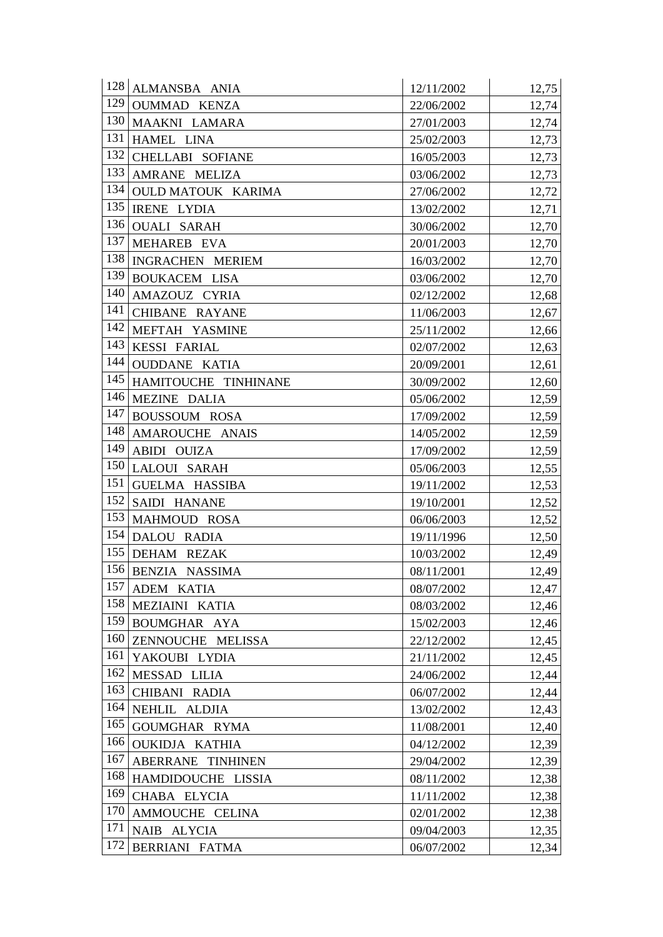| 128 | ALMANSBA ANIA           | 12/11/2002 | 12,75 |
|-----|-------------------------|------------|-------|
| 129 | OUMMAD KENZA            | 22/06/2002 | 12,74 |
| 130 | MAAKNI LAMARA           | 27/01/2003 | 12,74 |
| 131 | HAMEL LINA              | 25/02/2003 | 12,73 |
| 132 | CHELLABI SOFIANE        | 16/05/2003 | 12,73 |
| 133 | AMRANE MELIZA           | 03/06/2002 | 12,73 |
| 134 | OULD MATOUK KARIMA      | 27/06/2002 | 12,72 |
| 135 | <b>IRENE LYDIA</b>      | 13/02/2002 | 12,71 |
| 136 | <b>OUALI SARAH</b>      | 30/06/2002 | 12,70 |
| 137 | MEHAREB EVA             | 20/01/2003 | 12,70 |
| 138 | <b>INGRACHEN MERIEM</b> | 16/03/2002 | 12,70 |
| 139 | <b>BOUKACEM LISA</b>    | 03/06/2002 | 12,70 |
| 140 | AMAZOUZ CYRIA           | 02/12/2002 | 12,68 |
| 141 | CHIBANE RAYANE          | 11/06/2003 | 12,67 |
| 142 | MEFTAH YASMINE          | 25/11/2002 | 12,66 |
| 143 | <b>KESSI FARIAL</b>     | 02/07/2002 | 12,63 |
| 144 | <b>OUDDANE KATIA</b>    | 20/09/2001 | 12,61 |
| 145 | HAMITOUCHE TINHINANE    | 30/09/2002 | 12,60 |
| 146 | MEZINE DALIA            | 05/06/2002 | 12,59 |
| 147 | <b>BOUSSOUM ROSA</b>    | 17/09/2002 | 12,59 |
| 148 | AMAROUCHE ANAIS         | 14/05/2002 | 12,59 |
| 149 | ABIDI OUIZA             | 17/09/2002 | 12,59 |
| 150 | <b>LALOUI SARAH</b>     | 05/06/2003 | 12,55 |
| 151 | <b>GUELMA HASSIBA</b>   | 19/11/2002 | 12,53 |
| 152 | SAIDI HANANE            | 19/10/2001 | 12,52 |
| 153 | MAHMOUD ROSA            | 06/06/2003 | 12,52 |
| 154 | DALOU RADIA             | 19/11/1996 | 12,50 |
| 155 | DEHAM REZAK             | 10/03/2002 | 12,49 |
| 156 | BENZIA NASSIMA          | 08/11/2001 | 12,49 |
| 157 | ADEM KATIA              | 08/07/2002 | 12,47 |
| 158 | MEZIAINI KATIA          | 08/03/2002 | 12,46 |
| 159 | <b>BOUMGHAR AYA</b>     | 15/02/2003 | 12,46 |
| 160 | ZENNOUCHE MELISSA       | 22/12/2002 | 12,45 |
| 161 | YAKOUBI LYDIA           | 21/11/2002 | 12,45 |
| 162 | MESSAD LILIA            | 24/06/2002 | 12,44 |
| 163 | CHIBANI RADIA           | 06/07/2002 | 12,44 |
| 164 | NEHLIL ALDJIA           | 13/02/2002 | 12,43 |
| 165 | GOUMGHAR RYMA           | 11/08/2001 | 12,40 |
| 166 | OUKIDJA KATHIA          | 04/12/2002 | 12,39 |
| 167 | ABERRANE TINHINEN       | 29/04/2002 | 12,39 |
| 168 | HAMDIDOUCHE LISSIA      | 08/11/2002 | 12,38 |
| 169 | CHABA ELYCIA            | 11/11/2002 | 12,38 |
| 170 | AMMOUCHE CELINA         | 02/01/2002 | 12,38 |
| 171 | NAIB ALYCIA             | 09/04/2003 | 12,35 |
| 172 | BERRIANI FATMA          | 06/07/2002 | 12,34 |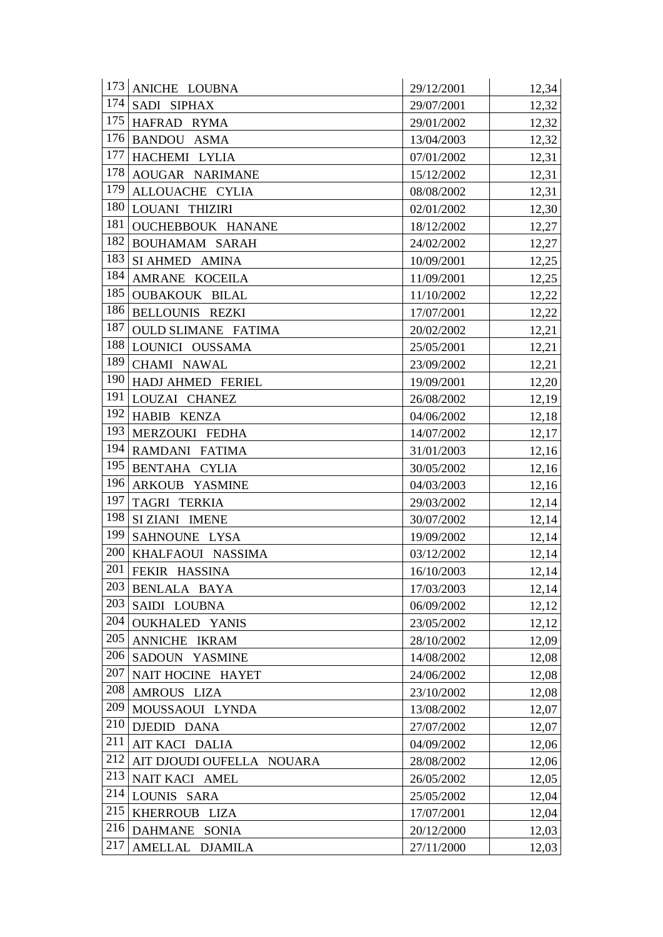| 173 | ANICHE LOUBNA              | 29/12/2001 | 12,34 |
|-----|----------------------------|------------|-------|
| 174 | SADI SIPHAX                | 29/07/2001 | 12,32 |
| 175 | HAFRAD RYMA                | 29/01/2002 | 12,32 |
| 176 | <b>BANDOU ASMA</b>         | 13/04/2003 | 12,32 |
| 177 | HACHEMI LYLIA              | 07/01/2002 | 12,31 |
| 178 | AOUGAR NARIMANE            | 15/12/2002 | 12,31 |
| 179 | ALLOUACHE CYLIA            | 08/08/2002 | 12,31 |
| 180 | LOUANI THIZIRI             | 02/01/2002 | 12,30 |
| 181 | <b>OUCHEBBOUK HANANE</b>   | 18/12/2002 | 12,27 |
| 182 | BOUHAMAM SARAH             | 24/02/2002 | 12,27 |
| 183 | SI AHMED AMINA             | 10/09/2001 | 12,25 |
| 184 | AMRANE KOCEILA             | 11/09/2001 | 12,25 |
| 185 | <b>OUBAKOUK BILAL</b>      | 11/10/2002 | 12,22 |
| 186 | <b>BELLOUNIS REZKI</b>     | 17/07/2001 | 12,22 |
| 187 | <b>OULD SLIMANE FATIMA</b> | 20/02/2002 | 12,21 |
| 188 | LOUNICI OUSSAMA            | 25/05/2001 | 12,21 |
| 189 | CHAMI NAWAL                | 23/09/2002 | 12,21 |
| 190 | HADJ AHMED FERIEL          | 19/09/2001 | 12,20 |
| 191 | LOUZAI CHANEZ              | 26/08/2002 | 12,19 |
| 192 | HABIB KENZA                | 04/06/2002 | 12,18 |
| 193 | MERZOUKI FEDHA             | 14/07/2002 | 12,17 |
| 194 | RAMDANI FATIMA             | 31/01/2003 | 12,16 |
| 195 | BENTAHA CYLIA              | 30/05/2002 | 12,16 |
| 196 | ARKOUB YASMINE             | 04/03/2003 | 12,16 |
| 197 | TAGRI TERKIA               | 29/03/2002 | 12,14 |
| 198 | SIZIANI IMENE              | 30/07/2002 | 12,14 |
| 199 | SAHNOUNE LYSA              | 19/09/2002 | 12,14 |
| 200 | KHALFAOUI NASSIMA          | 03/12/2002 | 12,14 |
| 201 | FEKIR HASSINA              | 16/10/2003 | 12,14 |
| 203 | BENLALA BAYA               | 17/03/2003 | 12,14 |
| 203 | SAIDI LOUBNA               | 06/09/2002 | 12,12 |
| 204 | <b>OUKHALED YANIS</b>      | 23/05/2002 | 12,12 |
| 205 | ANNICHE IKRAM              | 28/10/2002 | 12,09 |
| 206 | SADOUN YASMINE             | 14/08/2002 | 12,08 |
| 207 | NAIT HOCINE HAYET          | 24/06/2002 | 12,08 |
| 208 | AMROUS LIZA                | 23/10/2002 | 12,08 |
| 209 | MOUSSAOUI LYNDA            | 13/08/2002 | 12,07 |
| 210 | DJEDID DANA                | 27/07/2002 | 12,07 |
| 211 | AIT KACI DALIA             | 04/09/2002 | 12,06 |
| 212 | AIT DJOUDI OUFELLA NOUARA  | 28/08/2002 | 12,06 |
| 213 | NAIT KACI AMEL             | 26/05/2002 | 12,05 |
| 214 | LOUNIS SARA                | 25/05/2002 | 12,04 |
| 215 | KHERROUB LIZA              | 17/07/2001 | 12,04 |
| 216 | DAHMANE SONIA              | 20/12/2000 | 12,03 |
| 217 | AMELLAL DJAMILA            | 27/11/2000 | 12,03 |